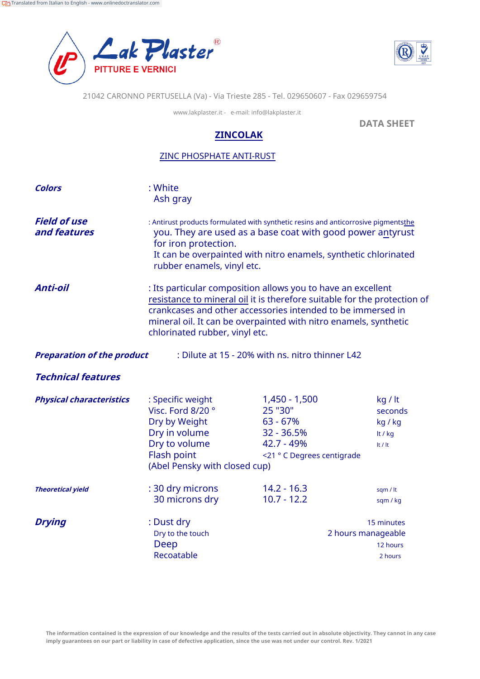



21042 CARONNO PERTUSELLA (Va) - Via Trieste 285 - Tel. 029650607 - Fax 029659754

www.lakplaster.it - e-mail: info@lakplaster.it

**DATA SHEET**

## **ZINCOLAK**

## ZINC PHOSPHATE ANTI-RUST

| <b>Colors</b>                                                                        | : White<br>Ash gray                                                                                                                      |                                                                                                                                                                                                                                                                             |                                                     |
|--------------------------------------------------------------------------------------|------------------------------------------------------------------------------------------------------------------------------------------|-----------------------------------------------------------------------------------------------------------------------------------------------------------------------------------------------------------------------------------------------------------------------------|-----------------------------------------------------|
| <b>Field of use</b><br>and features                                                  | for iron protection.<br>rubber enamels, vinyl etc.                                                                                       | : Antirust products formulated with synthetic resins and anticorrosive pigmentsthe<br>you. They are used as a base coat with good power antyrust<br>It can be overpainted with nitro enamels, synthetic chlorinated                                                         |                                                     |
| <b>Anti-oil</b>                                                                      | chlorinated rubber, vinyl etc.                                                                                                           | : Its particular composition allows you to have an excellent<br>resistance to mineral oil it is therefore suitable for the protection of<br>crankcases and other accessories intended to be immersed in<br>mineral oil. It can be overpainted with nitro enamels, synthetic |                                                     |
| : Dilute at 15 - 20% with ns. nitro thinner L42<br><b>Preparation of the product</b> |                                                                                                                                          |                                                                                                                                                                                                                                                                             |                                                     |
| <b>Technical features</b>                                                            |                                                                                                                                          |                                                                                                                                                                                                                                                                             |                                                     |
| <b>Physical characteristics</b>                                                      | : Specific weight<br>Visc. Ford 8/20°<br>Dry by Weight<br>Dry in volume<br>Dry to volume<br>Flash point<br>(Abel Pensky with closed cup) | $1,450 - 1,500$<br>25 "30"<br>63 - 67%<br>32 - 36.5%<br>42.7 - 49%<br><21 ° C Degrees centigrade                                                                                                                                                                            | kg / lt<br>seconds<br>kg / kg<br>It / kg<br> t /  t |
| <b>Theoretical yield</b>                                                             | : 30 dry microns<br>30 microns dry                                                                                                       | $14.2 - 16.3$<br>$10.7 - 12.2$                                                                                                                                                                                                                                              | sqm / lt<br>sqm / kg                                |
| Drying                                                                               | : Dust dry<br>Dry to the touch<br>Deep<br>Recoatable                                                                                     | 2 hours manageable                                                                                                                                                                                                                                                          | 15 minutes<br>12 hours<br>2 hours                   |